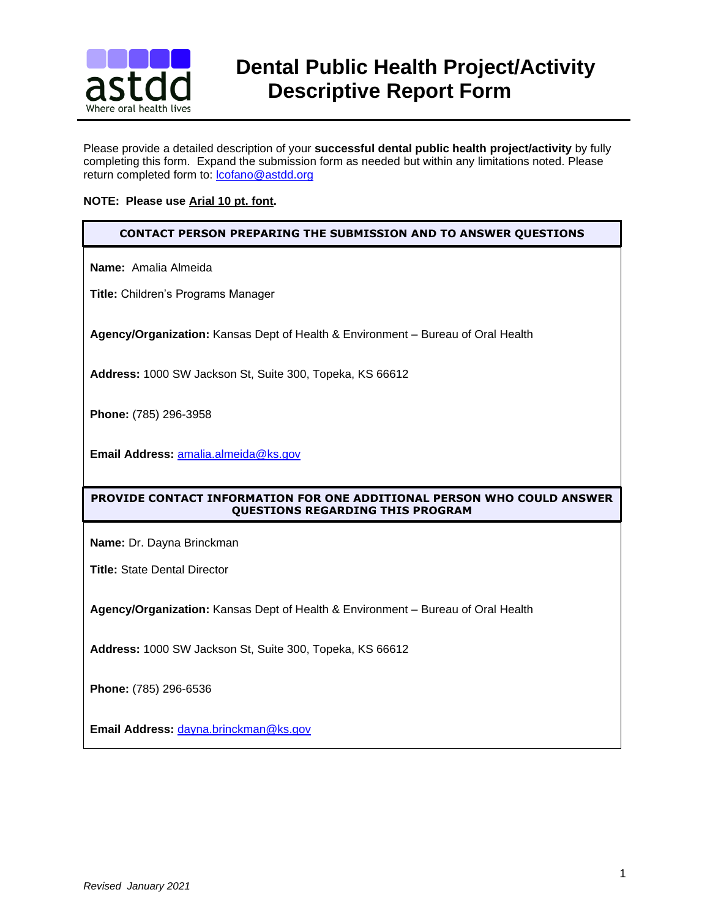

# **BELIEE** Dental Public Health Project/Activity<br>**astdd** Descriptive Report Form  **Descriptive Report Form**

Please provide a detailed description of your **successful dental public health project/activity** by fully completing this form. Expand the submission form as needed but within any limitations noted. Please return completed form to: [lcofano@astdd.org](mailto:lcofano@astdd.org)

#### **NOTE: Please use Arial 10 pt. font.**

#### **CONTACT PERSON PREPARING THE SUBMISSION AND TO ANSWER QUESTIONS**

**Name:** Amalia Almeida

**Title:** Children's Programs Manager

**Agency/Organization:** Kansas Dept of Health & Environment – Bureau of Oral Health

**Address:** 1000 SW Jackson St, Suite 300, Topeka, KS 66612

**Phone:** (785) 296-3958

**Email Address:** [amalia.almeida@ks.gov](mailto:amalia.almeida@ks.gov)

### **PROVIDE CONTACT INFORMATION FOR ONE ADDITIONAL PERSON WHO COULD ANSWER QUESTIONS REGARDING THIS PROGRAM**

**Name:** Dr. Dayna Brinckman

**Title:** State Dental Director

**Agency/Organization:** Kansas Dept of Health & Environment – Bureau of Oral Health

**Address:** 1000 SW Jackson St, Suite 300, Topeka, KS 66612

**Phone:** (785) 296-6536

**Email Address:** [dayna.brinckman@ks.gov](mailto:dayna.brinckman@ks.gov)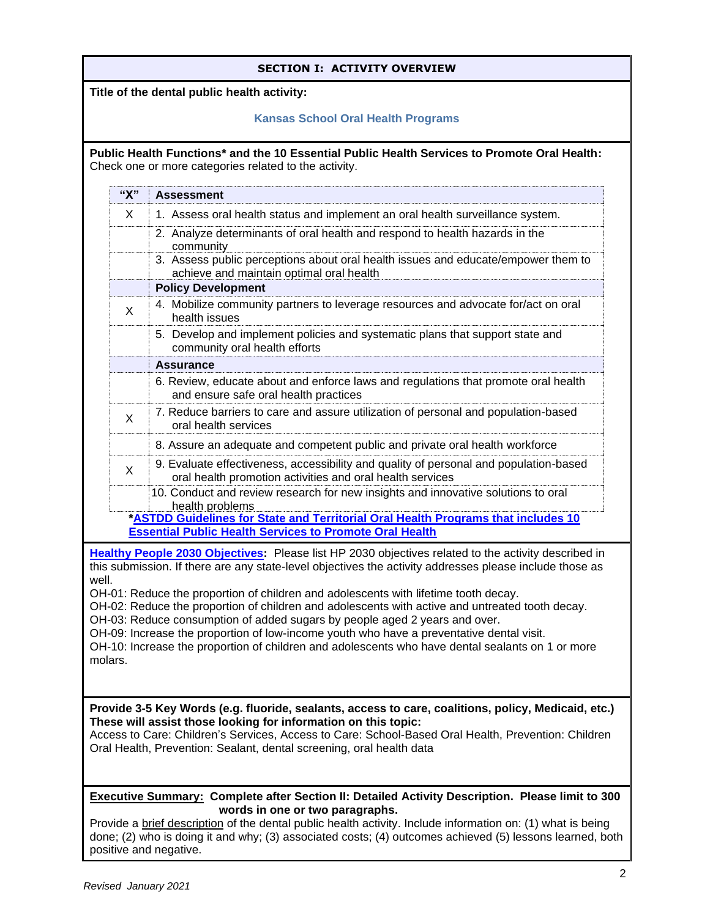| <b>SECTION I: ACTIVITY OVERVIEW</b>                                                                                                                                                                                                                                                  |                          |                                                                                                                                                                                                                                                                                                                                                      |  |
|--------------------------------------------------------------------------------------------------------------------------------------------------------------------------------------------------------------------------------------------------------------------------------------|--------------------------|------------------------------------------------------------------------------------------------------------------------------------------------------------------------------------------------------------------------------------------------------------------------------------------------------------------------------------------------------|--|
| Title of the dental public health activity:                                                                                                                                                                                                                                          |                          |                                                                                                                                                                                                                                                                                                                                                      |  |
|                                                                                                                                                                                                                                                                                      |                          | <b>Kansas School Oral Health Programs</b>                                                                                                                                                                                                                                                                                                            |  |
| Public Health Functions* and the 10 Essential Public Health Services to Promote Oral Health:<br>Check one or more categories related to the activity.                                                                                                                                |                          |                                                                                                                                                                                                                                                                                                                                                      |  |
|                                                                                                                                                                                                                                                                                      | "X"<br><b>Assessment</b> |                                                                                                                                                                                                                                                                                                                                                      |  |
|                                                                                                                                                                                                                                                                                      | X                        | 1. Assess oral health status and implement an oral health surveillance system.                                                                                                                                                                                                                                                                       |  |
|                                                                                                                                                                                                                                                                                      |                          | 2. Analyze determinants of oral health and respond to health hazards in the<br>community                                                                                                                                                                                                                                                             |  |
|                                                                                                                                                                                                                                                                                      |                          | 3. Assess public perceptions about oral health issues and educate/empower them to<br>achieve and maintain optimal oral health                                                                                                                                                                                                                        |  |
|                                                                                                                                                                                                                                                                                      |                          | <b>Policy Development</b>                                                                                                                                                                                                                                                                                                                            |  |
|                                                                                                                                                                                                                                                                                      | X                        | 4. Mobilize community partners to leverage resources and advocate for/act on oral<br>health issues                                                                                                                                                                                                                                                   |  |
|                                                                                                                                                                                                                                                                                      |                          | 5. Develop and implement policies and systematic plans that support state and<br>community oral health efforts                                                                                                                                                                                                                                       |  |
|                                                                                                                                                                                                                                                                                      |                          | <b>Assurance</b>                                                                                                                                                                                                                                                                                                                                     |  |
|                                                                                                                                                                                                                                                                                      |                          | 6. Review, educate about and enforce laws and regulations that promote oral health<br>and ensure safe oral health practices                                                                                                                                                                                                                          |  |
|                                                                                                                                                                                                                                                                                      | X                        | 7. Reduce barriers to care and assure utilization of personal and population-based<br>oral health services                                                                                                                                                                                                                                           |  |
|                                                                                                                                                                                                                                                                                      |                          | 8. Assure an adequate and competent public and private oral health workforce                                                                                                                                                                                                                                                                         |  |
|                                                                                                                                                                                                                                                                                      | X                        | 9. Evaluate effectiveness, accessibility and quality of personal and population-based<br>oral health promotion activities and oral health services                                                                                                                                                                                                   |  |
|                                                                                                                                                                                                                                                                                      |                          | 10. Conduct and review research for new insights and innovative solutions to oral<br>health problems                                                                                                                                                                                                                                                 |  |
|                                                                                                                                                                                                                                                                                      |                          | *ASTDD Guidelines for State and Territorial Oral Health Programs that includes 10<br><b>Essential Public Health Services to Promote Oral Health</b>                                                                                                                                                                                                  |  |
|                                                                                                                                                                                                                                                                                      |                          | Healthy People 2030 Objectives: Please list HP 2030 objectives related to the activity described in                                                                                                                                                                                                                                                  |  |
| well.                                                                                                                                                                                                                                                                                |                          | this submission. If there are any state-level objectives the activity addresses please include those as                                                                                                                                                                                                                                              |  |
|                                                                                                                                                                                                                                                                                      |                          | OH-01: Reduce the proportion of children and adolescents with lifetime tooth decay.                                                                                                                                                                                                                                                                  |  |
|                                                                                                                                                                                                                                                                                      |                          | OH-02: Reduce the proportion of children and adolescents with active and untreated tooth decay.<br>OH-03: Reduce consumption of added sugars by people aged 2 years and over.                                                                                                                                                                        |  |
|                                                                                                                                                                                                                                                                                      |                          | OH-09: Increase the proportion of low-income youth who have a preventative dental visit.                                                                                                                                                                                                                                                             |  |
| OH-10: Increase the proportion of children and adolescents who have dental sealants on 1 or more<br>molars.                                                                                                                                                                          |                          |                                                                                                                                                                                                                                                                                                                                                      |  |
|                                                                                                                                                                                                                                                                                      |                          |                                                                                                                                                                                                                                                                                                                                                      |  |
|                                                                                                                                                                                                                                                                                      |                          | Provide 3-5 Key Words (e.g. fluoride, sealants, access to care, coalitions, policy, Medicaid, etc.)<br>These will assist those looking for information on this topic:<br>Access to Care: Children's Services, Access to Care: School-Based Oral Health, Prevention: Children<br>Oral Health, Prevention: Sealant, dental screening, oral health data |  |
|                                                                                                                                                                                                                                                                                      |                          | <b>Executive Summary: Complete after Section II: Detailed Activity Description. Please limit to 300</b>                                                                                                                                                                                                                                              |  |
| words in one or two paragraphs.<br>Provide a brief description of the dental public health activity. Include information on: (1) what is being<br>done; (2) who is doing it and why; (3) associated costs; (4) outcomes achieved (5) lessons learned, both<br>positive and negative. |                          |                                                                                                                                                                                                                                                                                                                                                      |  |
|                                                                                                                                                                                                                                                                                      |                          |                                                                                                                                                                                                                                                                                                                                                      |  |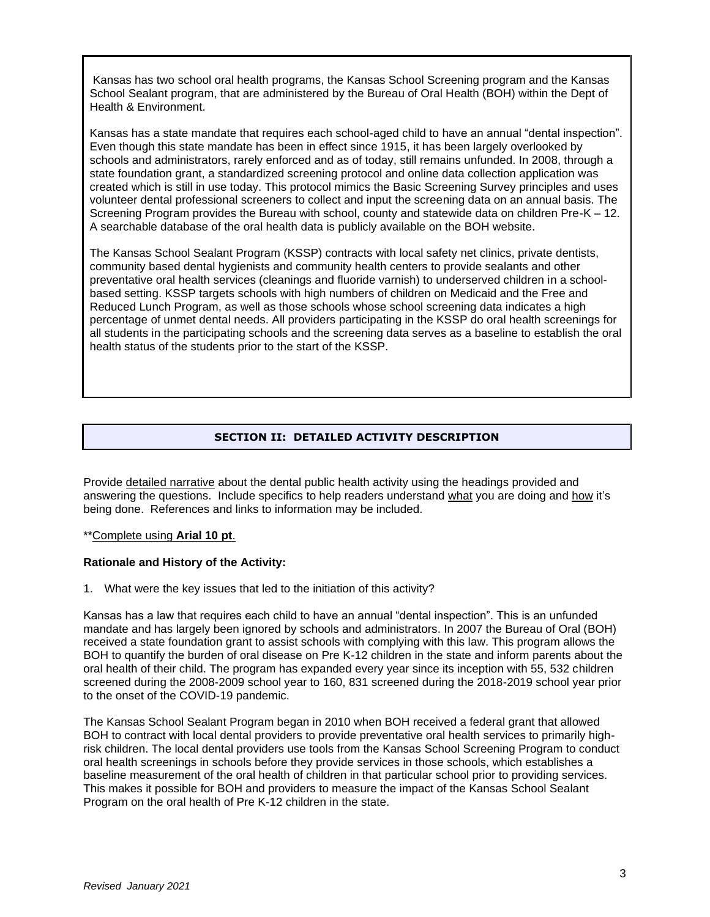Kansas has two school oral health programs, the Kansas School Screening program and the Kansas School Sealant program, that are administered by the Bureau of Oral Health (BOH) within the Dept of Health & Environment.

Kansas has a state mandate that requires each school-aged child to have an annual "dental inspection". Even though this state mandate has been in effect since 1915, it has been largely overlooked by schools and administrators, rarely enforced and as of today, still remains unfunded. In 2008, through a state foundation grant, a standardized screening protocol and online data collection application was created which is still in use today. This protocol mimics the Basic Screening Survey principles and uses volunteer dental professional screeners to collect and input the screening data on an annual basis. The Screening Program provides the Bureau with school, county and statewide data on children Pre-K – 12. A searchable database of the oral health data is publicly available on the BOH website.

The Kansas School Sealant Program (KSSP) contracts with local safety net clinics, private dentists, community based dental hygienists and community health centers to provide sealants and other preventative oral health services (cleanings and fluoride varnish) to underserved children in a schoolbased setting. KSSP targets schools with high numbers of children on Medicaid and the Free and Reduced Lunch Program, as well as those schools whose school screening data indicates a high percentage of unmet dental needs. All providers participating in the KSSP do oral health screenings for all students in the participating schools and the screening data serves as a baseline to establish the oral health status of the students prior to the start of the KSSP.

## **SECTION II: DETAILED ACTIVITY DESCRIPTION**

Provide detailed narrative about the dental public health activity using the headings provided and answering the questions. Include specifics to help readers understand what you are doing and how it's being done. References and links to information may be included.

#### \*\*Complete using **Arial 10 pt**.

#### **Rationale and History of the Activity:**

1. What were the key issues that led to the initiation of this activity?

Kansas has a law that requires each child to have an annual "dental inspection". This is an unfunded mandate and has largely been ignored by schools and administrators. In 2007 the Bureau of Oral (BOH) received a state foundation grant to assist schools with complying with this law. This program allows the BOH to quantify the burden of oral disease on Pre K-12 children in the state and inform parents about the oral health of their child. The program has expanded every year since its inception with 55, 532 children screened during the 2008-2009 school year to 160, 831 screened during the 2018-2019 school year prior to the onset of the COVID-19 pandemic.

The Kansas School Sealant Program began in 2010 when BOH received a federal grant that allowed BOH to contract with local dental providers to provide preventative oral health services to primarily highrisk children. The local dental providers use tools from the Kansas School Screening Program to conduct oral health screenings in schools before they provide services in those schools, which establishes a baseline measurement of the oral health of children in that particular school prior to providing services. This makes it possible for BOH and providers to measure the impact of the Kansas School Sealant Program on the oral health of Pre K-12 children in the state.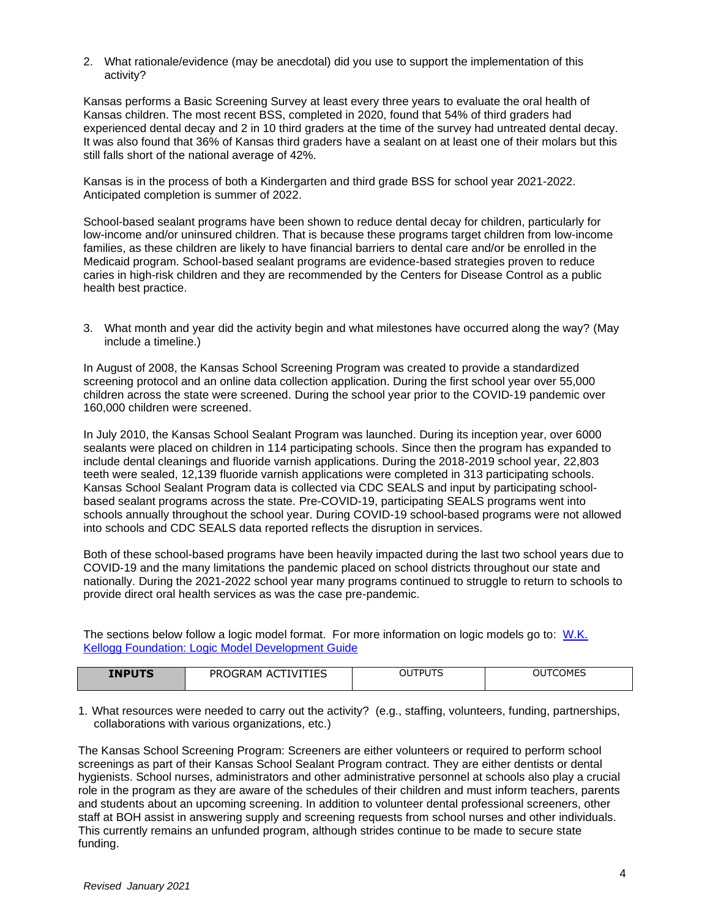2. What rationale/evidence (may be anecdotal) did you use to support the implementation of this activity?

Kansas performs a Basic Screening Survey at least every three years to evaluate the oral health of Kansas children. The most recent BSS, completed in 2020, found that 54% of third graders had experienced dental decay and 2 in 10 third graders at the time of the survey had untreated dental decay. It was also found that 36% of Kansas third graders have a sealant on at least one of their molars but this still falls short of the national average of 42%.

Kansas is in the process of both a Kindergarten and third grade BSS for school year 2021-2022. Anticipated completion is summer of 2022.

School-based sealant programs have been shown to reduce dental decay for children, particularly for low-income and/or uninsured children. That is because these programs target children from low-income families, as these children are likely to have financial barriers to dental care and/or be enrolled in the Medicaid program. School-based sealant programs are evidence-based strategies proven to reduce caries in high-risk children and they are recommended by the Centers for Disease Control as a public health best practice.

3. What month and year did the activity begin and what milestones have occurred along the way? (May include a timeline.)

In August of 2008, the Kansas School Screening Program was created to provide a standardized screening protocol and an online data collection application. During the first school year over 55,000 children across the state were screened. During the school year prior to the COVID-19 pandemic over 160,000 children were screened.

In July 2010, the Kansas School Sealant Program was launched. During its inception year, over 6000 sealants were placed on children in 114 participating schools. Since then the program has expanded to include dental cleanings and fluoride varnish applications. During the 2018-2019 school year, 22,803 teeth were sealed, 12,139 fluoride varnish applications were completed in 313 participating schools. Kansas School Sealant Program data is collected via CDC SEALS and input by participating schoolbased sealant programs across the state. Pre-COVID-19, participating SEALS programs went into schools annually throughout the school year. During COVID-19 school-based programs were not allowed into schools and CDC SEALS data reported reflects the disruption in services.

Both of these school-based programs have been heavily impacted during the last two school years due to COVID-19 and the many limitations the pandemic placed on school districts throughout our state and nationally. During the 2021-2022 school year many programs continued to struggle to return to schools to provide direct oral health services as was the case pre-pandemic.

The sections below follow a logic model format. For more information on logic models go to: [W.K.](http://www.exinfm.com/training/pdfiles/logicModel.pdf)  [Kellogg Foundation: Logic Model Development Guide](http://www.exinfm.com/training/pdfiles/logicModel.pdf)

| <b>INPUTS</b><br>1טי | VITIES<br>PR∟<br>-IVI<br>A<br>JGRAM | 0.170170<br>OU<br>טשי∵ | TCOMES<br>ΟU<br>◡◡⋯∟◡ |
|----------------------|-------------------------------------|------------------------|-----------------------|

1. What resources were needed to carry out the activity? (e.g., staffing, volunteers, funding, partnerships, collaborations with various organizations, etc.)

The Kansas School Screening Program: Screeners are either volunteers or required to perform school screenings as part of their Kansas School Sealant Program contract. They are either dentists or dental hygienists. School nurses, administrators and other administrative personnel at schools also play a crucial role in the program as they are aware of the schedules of their children and must inform teachers, parents and students about an upcoming screening. In addition to volunteer dental professional screeners, other staff at BOH assist in answering supply and screening requests from school nurses and other individuals. This currently remains an unfunded program, although strides continue to be made to secure state funding.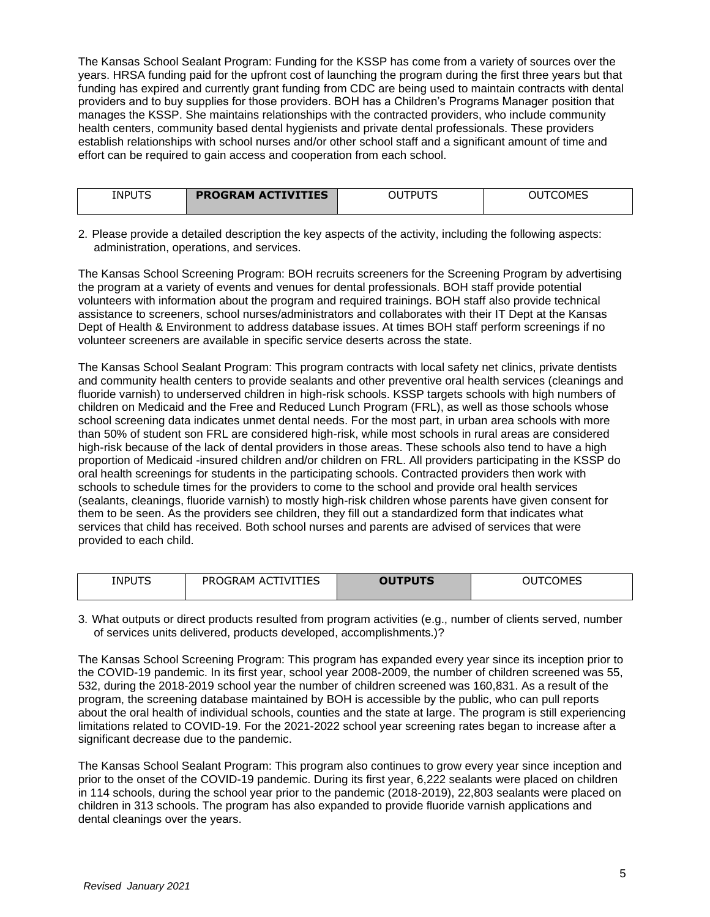The Kansas School Sealant Program: Funding for the KSSP has come from a variety of sources over the years. HRSA funding paid for the upfront cost of launching the program during the first three years but that funding has expired and currently grant funding from CDC are being used to maintain contracts with dental providers and to buy supplies for those providers. BOH has a Children's Programs Manager position that manages the KSSP. She maintains relationships with the contracted providers, who include community health centers, community based dental hygienists and private dental professionals. These providers establish relationships with school nurses and/or other school staff and a significant amount of time and effort can be required to gain access and cooperation from each school.

| <b>INPUTS</b> | <b>PROGRAM ACTIVITIES</b> | <b>TDI ITC</b><br>ОL | OUTCOMES |
|---------------|---------------------------|----------------------|----------|

2. Please provide a detailed description the key aspects of the activity, including the following aspects: administration, operations, and services.

The Kansas School Screening Program: BOH recruits screeners for the Screening Program by advertising the program at a variety of events and venues for dental professionals. BOH staff provide potential volunteers with information about the program and required trainings. BOH staff also provide technical assistance to screeners, school nurses/administrators and collaborates with their IT Dept at the Kansas Dept of Health & Environment to address database issues. At times BOH staff perform screenings if no volunteer screeners are available in specific service deserts across the state.

The Kansas School Sealant Program: This program contracts with local safety net clinics, private dentists and community health centers to provide sealants and other preventive oral health services (cleanings and fluoride varnish) to underserved children in high-risk schools. KSSP targets schools with high numbers of children on Medicaid and the Free and Reduced Lunch Program (FRL), as well as those schools whose school screening data indicates unmet dental needs. For the most part, in urban area schools with more than 50% of student son FRL are considered high-risk, while most schools in rural areas are considered high-risk because of the lack of dental providers in those areas. These schools also tend to have a high proportion of Medicaid -insured children and/or children on FRL. All providers participating in the KSSP do oral health screenings for students in the participating schools. Contracted providers then work with schools to schedule times for the providers to come to the school and provide oral health services (sealants, cleanings, fluoride varnish) to mostly high-risk children whose parents have given consent for them to be seen. As the providers see children, they fill out a standardized form that indicates what services that child has received. Both school nurses and parents are advised of services that were provided to each child.

| <b>INPUTS</b> | <b>ACTIVITIES</b><br>PROGRAM | <b>OUTPUTS</b> | <b>COMES</b><br>JU |
|---------------|------------------------------|----------------|--------------------|
|               |                              |                |                    |
|               |                              |                |                    |

3. What outputs or direct products resulted from program activities (e.g., number of clients served, number of services units delivered, products developed, accomplishments.)?

The Kansas School Screening Program: This program has expanded every year since its inception prior to the COVID-19 pandemic. In its first year, school year 2008-2009, the number of children screened was 55, 532, during the 2018-2019 school year the number of children screened was 160,831. As a result of the program, the screening database maintained by BOH is accessible by the public, who can pull reports about the oral health of individual schools, counties and the state at large. The program is still experiencing limitations related to COVID-19. For the 2021-2022 school year screening rates began to increase after a significant decrease due to the pandemic.

The Kansas School Sealant Program: This program also continues to grow every year since inception and prior to the onset of the COVID-19 pandemic. During its first year, 6,222 sealants were placed on children in 114 schools, during the school year prior to the pandemic (2018-2019), 22,803 sealants were placed on children in 313 schools. The program has also expanded to provide fluoride varnish applications and dental cleanings over the years.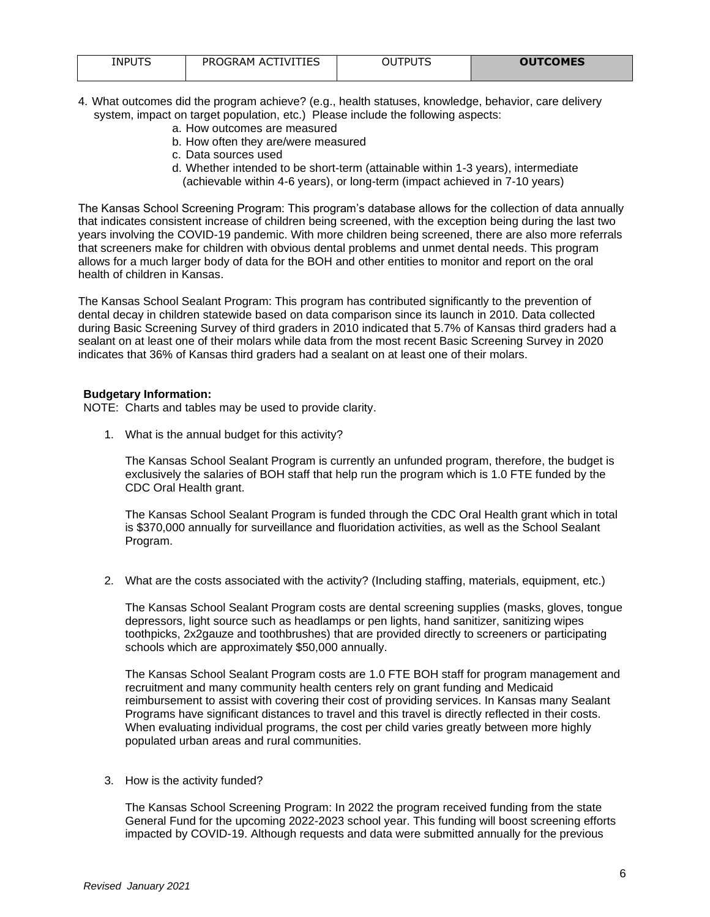| <b>OUTCOMES</b><br><b>ACTIVITIES</b><br><b>INPUTS</b><br>UTS<br>PROGRAM<br>וח־<br>JU |  |
|--------------------------------------------------------------------------------------|--|

- 4. What outcomes did the program achieve? (e.g., health statuses, knowledge, behavior, care delivery system, impact on target population, etc.) Please include the following aspects:
	- a. How outcomes are measured
	- b. How often they are/were measured
	- c. Data sources used
	- d. Whether intended to be short-term (attainable within 1-3 years), intermediate (achievable within 4-6 years), or long-term (impact achieved in 7-10 years)

The Kansas School Screening Program: This program's database allows for the collection of data annually that indicates consistent increase of children being screened, with the exception being during the last two years involving the COVID-19 pandemic. With more children being screened, there are also more referrals that screeners make for children with obvious dental problems and unmet dental needs. This program allows for a much larger body of data for the BOH and other entities to monitor and report on the oral health of children in Kansas.

The Kansas School Sealant Program: This program has contributed significantly to the prevention of dental decay in children statewide based on data comparison since its launch in 2010. Data collected during Basic Screening Survey of third graders in 2010 indicated that 5.7% of Kansas third graders had a sealant on at least one of their molars while data from the most recent Basic Screening Survey in 2020 indicates that 36% of Kansas third graders had a sealant on at least one of their molars.

#### **Budgetary Information:**

NOTE: Charts and tables may be used to provide clarity.

1. What is the annual budget for this activity?

The Kansas School Sealant Program is currently an unfunded program, therefore, the budget is exclusively the salaries of BOH staff that help run the program which is 1.0 FTE funded by the CDC Oral Health grant.

The Kansas School Sealant Program is funded through the CDC Oral Health grant which in total is \$370,000 annually for surveillance and fluoridation activities, as well as the School Sealant Program.

2. What are the costs associated with the activity? (Including staffing, materials, equipment, etc.)

The Kansas School Sealant Program costs are dental screening supplies (masks, gloves, tongue depressors, light source such as headlamps or pen lights, hand sanitizer, sanitizing wipes toothpicks, 2x2gauze and toothbrushes) that are provided directly to screeners or participating schools which are approximately \$50,000 annually.

The Kansas School Sealant Program costs are 1.0 FTE BOH staff for program management and recruitment and many community health centers rely on grant funding and Medicaid reimbursement to assist with covering their cost of providing services. In Kansas many Sealant Programs have significant distances to travel and this travel is directly reflected in their costs. When evaluating individual programs, the cost per child varies greatly between more highly populated urban areas and rural communities.

#### 3. How is the activity funded?

The Kansas School Screening Program: In 2022 the program received funding from the state General Fund for the upcoming 2022-2023 school year. This funding will boost screening efforts impacted by COVID-19. Although requests and data were submitted annually for the previous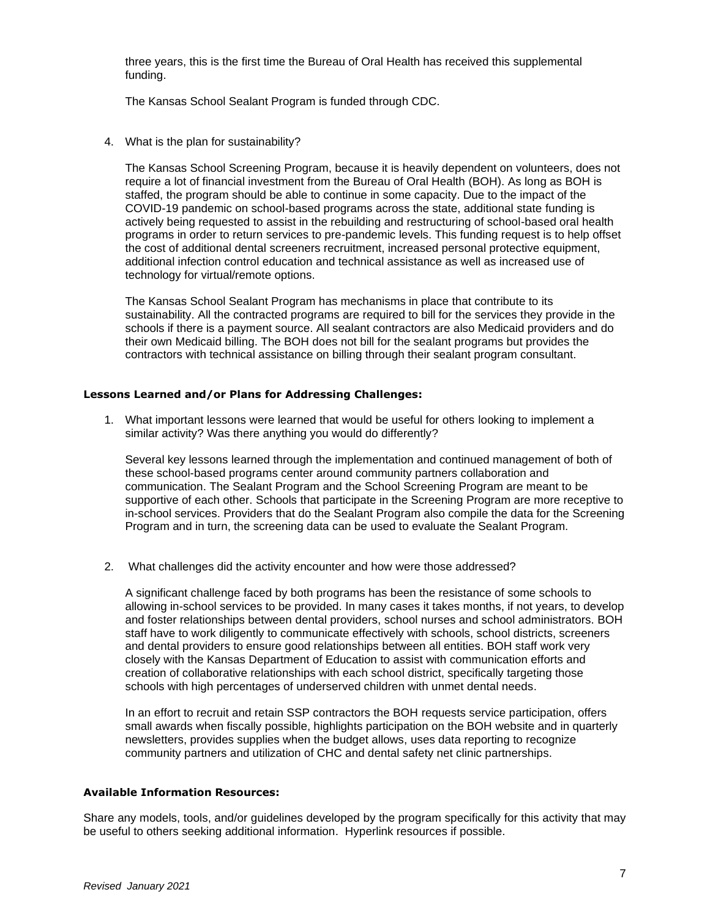three years, this is the first time the Bureau of Oral Health has received this supplemental funding.

The Kansas School Sealant Program is funded through CDC.

4. What is the plan for sustainability?

The Kansas School Screening Program, because it is heavily dependent on volunteers, does not require a lot of financial investment from the Bureau of Oral Health (BOH). As long as BOH is staffed, the program should be able to continue in some capacity. Due to the impact of the COVID-19 pandemic on school-based programs across the state, additional state funding is actively being requested to assist in the rebuilding and restructuring of school-based oral health programs in order to return services to pre-pandemic levels. This funding request is to help offset the cost of additional dental screeners recruitment, increased personal protective equipment, additional infection control education and technical assistance as well as increased use of technology for virtual/remote options.

The Kansas School Sealant Program has mechanisms in place that contribute to its sustainability. All the contracted programs are required to bill for the services they provide in the schools if there is a payment source. All sealant contractors are also Medicaid providers and do their own Medicaid billing. The BOH does not bill for the sealant programs but provides the contractors with technical assistance on billing through their sealant program consultant.

#### **Lessons Learned and/or Plans for Addressing Challenges:**

1. What important lessons were learned that would be useful for others looking to implement a similar activity? Was there anything you would do differently?

Several key lessons learned through the implementation and continued management of both of these school-based programs center around community partners collaboration and communication. The Sealant Program and the School Screening Program are meant to be supportive of each other. Schools that participate in the Screening Program are more receptive to in-school services. Providers that do the Sealant Program also compile the data for the Screening Program and in turn, the screening data can be used to evaluate the Sealant Program.

2. What challenges did the activity encounter and how were those addressed?

A significant challenge faced by both programs has been the resistance of some schools to allowing in-school services to be provided. In many cases it takes months, if not years, to develop and foster relationships between dental providers, school nurses and school administrators. BOH staff have to work diligently to communicate effectively with schools, school districts, screeners and dental providers to ensure good relationships between all entities. BOH staff work very closely with the Kansas Department of Education to assist with communication efforts and creation of collaborative relationships with each school district, specifically targeting those schools with high percentages of underserved children with unmet dental needs.

In an effort to recruit and retain SSP contractors the BOH requests service participation, offers small awards when fiscally possible, highlights participation on the BOH website and in quarterly newsletters, provides supplies when the budget allows, uses data reporting to recognize community partners and utilization of CHC and dental safety net clinic partnerships.

#### **Available Information Resources:**

Share any models, tools, and/or guidelines developed by the program specifically for this activity that may be useful to others seeking additional information. Hyperlink resources if possible.